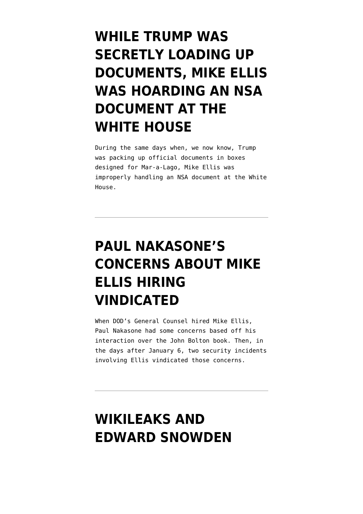#### **[WHILE TRUMP WAS](https://www.emptywheel.net/2022/02/11/while-trump-was-secretly-loading-up-documents-mike-ellis-was-hoarding-an-nsa-document-at-the-white-house/) [SECRETLY LOADING UP](https://www.emptywheel.net/2022/02/11/while-trump-was-secretly-loading-up-documents-mike-ellis-was-hoarding-an-nsa-document-at-the-white-house/) [DOCUMENTS, MIKE ELLIS](https://www.emptywheel.net/2022/02/11/while-trump-was-secretly-loading-up-documents-mike-ellis-was-hoarding-an-nsa-document-at-the-white-house/) [WAS HOARDING AN NSA](https://www.emptywheel.net/2022/02/11/while-trump-was-secretly-loading-up-documents-mike-ellis-was-hoarding-an-nsa-document-at-the-white-house/) [DOCUMENT AT THE](https://www.emptywheel.net/2022/02/11/while-trump-was-secretly-loading-up-documents-mike-ellis-was-hoarding-an-nsa-document-at-the-white-house/) [WHITE HOUSE](https://www.emptywheel.net/2022/02/11/while-trump-was-secretly-loading-up-documents-mike-ellis-was-hoarding-an-nsa-document-at-the-white-house/)**

During the same days when, we now know, Trump was packing up official documents in boxes designed for Mar-a-Lago, Mike Ellis was improperly handling an NSA document at the White House.

# **[PAUL NAKASONE'S](https://www.emptywheel.net/2021/10/22/paul-nakasones-concerns-about-mike-ellis-hiring-vindicated/) [CONCERNS ABOUT MIKE](https://www.emptywheel.net/2021/10/22/paul-nakasones-concerns-about-mike-ellis-hiring-vindicated/) [ELLIS HIRING](https://www.emptywheel.net/2021/10/22/paul-nakasones-concerns-about-mike-ellis-hiring-vindicated/) [VINDICATED](https://www.emptywheel.net/2021/10/22/paul-nakasones-concerns-about-mike-ellis-hiring-vindicated/)**

When DOD's General Counsel hired Mike Ellis, Paul Nakasone had some concerns based off his interaction over the John Bolton book. Then, in the days after January 6, two security incidents involving Ellis vindicated those concerns.

#### **[WIKILEAKS AND](https://www.emptywheel.net/2021/06/27/wikileaks-and-edward-snowden-champion-sociopathic-liars-and-sloppy-thinking/) [EDWARD SNOWDEN](https://www.emptywheel.net/2021/06/27/wikileaks-and-edward-snowden-champion-sociopathic-liars-and-sloppy-thinking/)**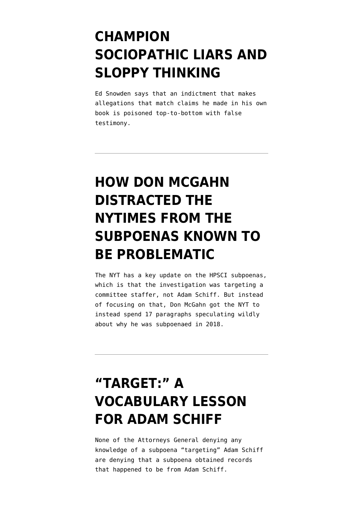#### **[CHAMPION](https://www.emptywheel.net/2021/06/27/wikileaks-and-edward-snowden-champion-sociopathic-liars-and-sloppy-thinking/) [SOCIOPATHIC LIARS AND](https://www.emptywheel.net/2021/06/27/wikileaks-and-edward-snowden-champion-sociopathic-liars-and-sloppy-thinking/) [SLOPPY THINKING](https://www.emptywheel.net/2021/06/27/wikileaks-and-edward-snowden-champion-sociopathic-liars-and-sloppy-thinking/)**

Ed Snowden says that an indictment that makes allegations that match claims he made in his own book is poisoned top-to-bottom with false testimony.

## **[HOW DON MCGAHN](https://www.emptywheel.net/2021/06/13/how-don-mcgahn-distracted-the-nytimes-from-the-hpsci-subpoenas/) [DISTRACTED THE](https://www.emptywheel.net/2021/06/13/how-don-mcgahn-distracted-the-nytimes-from-the-hpsci-subpoenas/) [NYTIMES FROM THE](https://www.emptywheel.net/2021/06/13/how-don-mcgahn-distracted-the-nytimes-from-the-hpsci-subpoenas/) [SUBPOENAS KNOWN TO](https://www.emptywheel.net/2021/06/13/how-don-mcgahn-distracted-the-nytimes-from-the-hpsci-subpoenas/) [BE PROBLEMATIC](https://www.emptywheel.net/2021/06/13/how-don-mcgahn-distracted-the-nytimes-from-the-hpsci-subpoenas/)**

The NYT has a key update on the HPSCI subpoenas, which is that the investigation was targeting a committee staffer, not Adam Schiff. But instead of focusing on that, Don McGahn got the NYT to instead spend 17 paragraphs speculating wildly about why he was subpoenaed in 2018.

# **["TARGET:" A](https://www.emptywheel.net/2021/06/13/target-a-vocabulary-lesson-for-adam-schiff/) [VOCABULARY LESSON](https://www.emptywheel.net/2021/06/13/target-a-vocabulary-lesson-for-adam-schiff/) [FOR ADAM SCHIFF](https://www.emptywheel.net/2021/06/13/target-a-vocabulary-lesson-for-adam-schiff/)**

None of the Attorneys General denying any knowledge of a subpoena "targeting" Adam Schiff are denying that a subpoena obtained records that happened to be from Adam Schiff.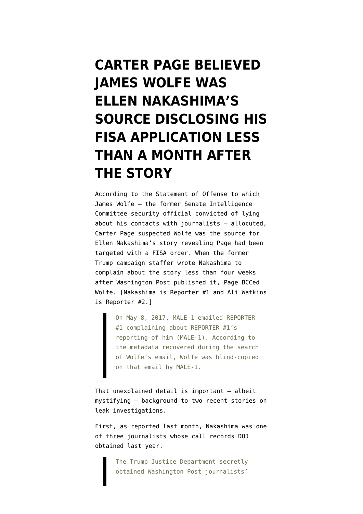# **[CARTER PAGE BELIEVED](https://www.emptywheel.net/2021/06/12/carter-page-believed-james-wolfe-was-ellen-nakashimas-source-on-his-fisa-application-less-than-a-month-after-the-story/) [JAMES WOLFE WAS](https://www.emptywheel.net/2021/06/12/carter-page-believed-james-wolfe-was-ellen-nakashimas-source-on-his-fisa-application-less-than-a-month-after-the-story/) [ELLEN NAKASHIMA'S](https://www.emptywheel.net/2021/06/12/carter-page-believed-james-wolfe-was-ellen-nakashimas-source-on-his-fisa-application-less-than-a-month-after-the-story/) [SOURCE DISCLOSING HIS](https://www.emptywheel.net/2021/06/12/carter-page-believed-james-wolfe-was-ellen-nakashimas-source-on-his-fisa-application-less-than-a-month-after-the-story/) [FISA APPLICATION LESS](https://www.emptywheel.net/2021/06/12/carter-page-believed-james-wolfe-was-ellen-nakashimas-source-on-his-fisa-application-less-than-a-month-after-the-story/) [THAN A MONTH AFTER](https://www.emptywheel.net/2021/06/12/carter-page-believed-james-wolfe-was-ellen-nakashimas-source-on-his-fisa-application-less-than-a-month-after-the-story/) [THE STORY](https://www.emptywheel.net/2021/06/12/carter-page-believed-james-wolfe-was-ellen-nakashimas-source-on-his-fisa-application-less-than-a-month-after-the-story/)**

According to the [Statement of Offense](https://www.documentcloud.org/documents/5002633-Statement-of-Offense.html) to which James Wolfe — the former Senate Intelligence Committee security official convicted of lying about his contacts with journalists — allocuted, Carter Page suspected Wolfe was the source for Ellen Nakashima's story revealing Page had been targeted with a FISA order. When the former Trump campaign staffer wrote Nakashima to complain about the story less than four weeks after [Washington Post published it](https://www.washingtonpost.com/world/national-security/fbi-obtained-fisa-warrant-to-monitor-former-trump-adviser-carter-page/2017/04/11/620192ea-1e0e-11e7-ad74-3a742a6e93a7_story.html), Page BCCed Wolfe. [Nakashima is Reporter #1 and Ali Watkins is Reporter #2.]

> On May 8, 2017, MALE-1 emailed REPORTER #1 complaining about REPORTER #1's reporting of him (MALE-1). According to the metadata recovered during the search of Wolfe's email, Wolfe was blind-copied on that email by MALE-1.

That unexplained detail is important — albeit mystifying — background to two recent stories on leak investigations.

First, as reported last month, Nakashima was one of three journalists [whose call records DOJ](https://www.washingtonpost.com/national-security/trump-justice-dept-seized-post-reporters-phone-records/2021/05/07/933cdfc6-af5b-11eb-b476-c3b287e52a01_story.html) [obtained](https://www.washingtonpost.com/national-security/trump-justice-dept-seized-post-reporters-phone-records/2021/05/07/933cdfc6-af5b-11eb-b476-c3b287e52a01_story.html) last year.

> The Trump Justice Department secretly obtained Washington Post journalists'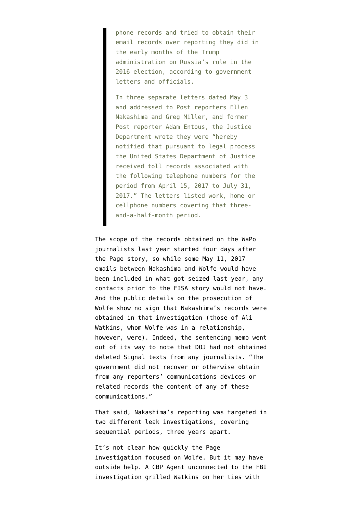phone records and tried to obtain their email records over reporting they did in the early months of the Trump administration on Russia's role in the 2016 election, according to government letters and officials.

In three separate letters dated May 3 and addressed to Post reporters Ellen Nakashima and Greg Miller, and former Post reporter Adam Entous, the Justice Department wrote they were "hereby notified that pursuant to legal process the United States Department of Justice received toll records associated with the following telephone numbers for the period from April 15, 2017 to July 31, 2017." The letters listed work, home or cellphone numbers covering that threeand-a-half-month period.

The scope of the records obtained on the WaPo journalists last year started four days after the Page story, so while some May 11, 2017 emails between Nakashima and Wolfe would have been included in what got seized last year, any contacts prior to the FISA story would not have. And the public details on the prosecution of Wolfe show no sign that Nakashima's records were obtained in that investigation (those of Ali Watkins, whom Wolfe was in a relationship, however, were). Indeed, the sentencing memo went out of its way to [note](https://storage.courtlistener.com/recap/gov.uscourts.dcd.197472/gov.uscourts.dcd.197472.44.0.pdf) that DOJ had not obtained deleted Signal texts from any journalists. "The government did not recover or otherwise obtain from any reporters' communications devices or related records the content of any of these communications."

That said, Nakashima's reporting was targeted in two different leak investigations, covering sequential periods, three years apart.

It's not clear how quickly the Page investigation focused on Wolfe. But it may have outside help. A CBP Agent [unconnected](https://www.washingtonpost.com/world/national-security/customs-and-border-protection-examining-agents-questioning-of-national-security-reporter/2018/06/12/05dac696-6e74-11e8-afd5-778aca903bbe_story.html) to the FBI investigation grilled Watkins on her ties with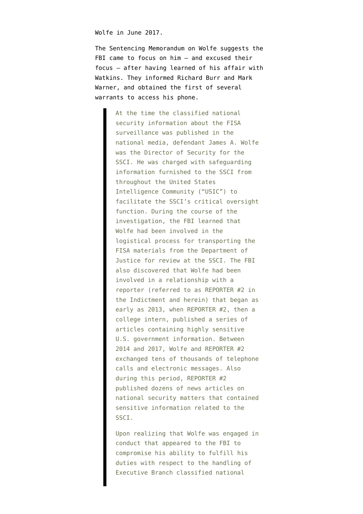Wolfe in June 2017.

The [Sentencing Memorandum](https://storage.courtlistener.com/recap/gov.uscourts.dcd.197472/gov.uscourts.dcd.197472.44.0.pdf) on Wolfe suggests the FBI came to focus on him - and excused their focus — after having learned of his affair with Watkins. They informed Richard Burr and Mark Warner, and obtained the first of several warrants to access his phone.

> At the time the classified national security information about the FISA surveillance was published in the national media, defendant James A. Wolfe was the Director of Security for the SSCI. He was charged with safeguarding information furnished to the SSCI from throughout the United States Intelligence Community ("USIC") to facilitate the SSCI's critical oversight function. During the course of the investigation, the FBI learned that Wolfe had been involved in the logistical process for transporting the FISA materials from the Department of Justice for review at the SSCI. The FBI also discovered that Wolfe had been involved in a relationship with a reporter (referred to as REPORTER #2 in the Indictment and herein) that began as early as 2013, when REPORTER #2, then a college intern, published a series of articles containing highly sensitive U.S. government information. Between 2014 and 2017, Wolfe and REPORTER #2 exchanged tens of thousands of telephone calls and electronic messages. Also during this period, REPORTER #2 published dozens of news articles on national security matters that contained sensitive information related to the SSCI.

Upon realizing that Wolfe was engaged in conduct that appeared to the FBI to compromise his ability to fulfill his duties with respect to the handling of Executive Branch classified national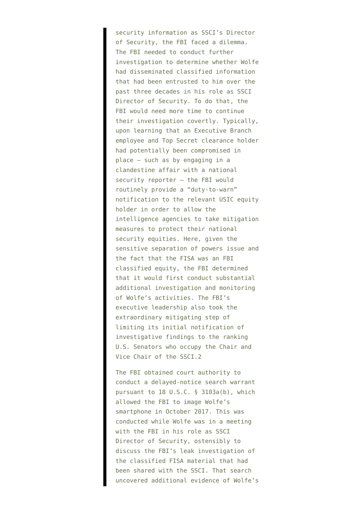security information as SSCI's Director of Security, the FBI faced a dilemma. The FBI needed to conduct further investigation to determine whether Wolfe had disseminated classified information that had been entrusted to him over the past three decades in his role as SSCI Director of Security. To do that, the FBI would need more time to continue their investigation covertly. Typically, upon learning that an Executive Branch employee and Top Secret clearance holder had potentially been compromised in place – such as by engaging in a clandestine affair with a national security reporter – the FBI would routinely provide a "duty-to-warn" notification to the relevant USIC equity holder in order to allow the intelligence agencies to take mitigation measures to protect their national security equities. Here, given the sensitive separation of powers issue and the fact that the FISA was an FBI classified equity, the FBI determined that it would first conduct substantial additional investigation and monitoring of Wolfe's activities. The FBI's executive leadership also took the extraordinary mitigating step of limiting its initial notification of investigative findings to the ranking U.S. Senators who occupy the Chair and Vice Chair of the SSCI.2

The FBI obtained court authority to conduct a delayed-notice search warrant pursuant to 18 U.S.C. § 3103a(b), which allowed the FBI to image Wolfe's smartphone in October 2017. This was conducted while Wolfe was in a meeting with the FBI in his role as SSCI Director of Security, ostensibly to discuss the FBI's leak investigation of the classified FISA material that had been shared with the SSCI. That search uncovered additional evidence of Wolfe's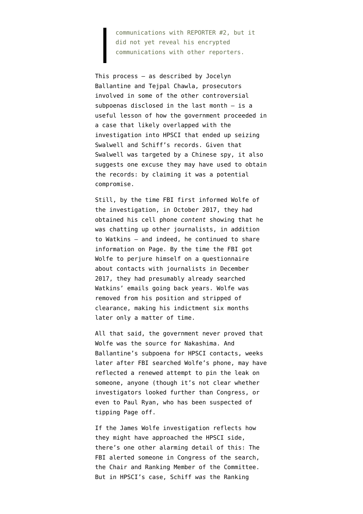communications with REPORTER #2, but it did not yet reveal his encrypted communications with other reporters.

This process — as described by Jocelyn Ballantine and Tejpal Chawla, prosecutors involved in some of the other controversial subpoenas disclosed in the last month — is a useful lesson of how the government proceeded in a case that likely overlapped with the investigation into HPSCI that ended up seizing Swalwell and Schiff's records. Given that Swalwell was targeted by a Chinese spy, it also suggests one excuse they may have used to obtain the records: by claiming it was a potential compromise.

Still, by the time FBI first informed Wolfe of the investigation, in October 2017, they had obtained his cell phone *content* showing that he was chatting up other journalists, in addition to Watkins — and indeed, he continued to share information on Page. By the time the FBI got Wolfe to perjure himself on a questionnaire about contacts with journalists in December 2017, they had presumably already searched Watkins' emails going back years. Wolfe was removed from his position and stripped of clearance, making his indictment six months later only a matter of time.

All that said, the government never proved that Wolfe was the source for Nakashima. And Ballantine's subpoena for HPSCI contacts, weeks later after FBI searched Wolfe's phone, may have reflected a renewed attempt to pin the leak on someone, anyone (though it's not clear whether investigators looked further than Congress, or even to Paul Ryan, who has been suspected of tipping Page off.

If the James Wolfe investigation reflects how they might have approached the HPSCI side, there's one other alarming detail of this: The FBI alerted someone in Congress of the search, the Chair and Ranking Member of the Committee. But in HPSCI's case, Schiff *was* the Ranking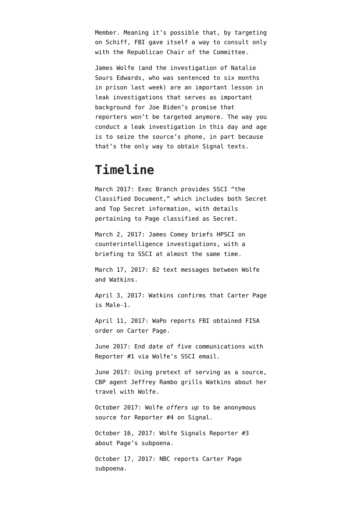Member. Meaning it's possible that, by targeting on Schiff, FBI gave itself a way to consult only with the Republican Chair of the Committee.

James Wolfe (and the investigation of Natalie Sours Edwards, who was sentenced to six months in prison last week) are an important lesson in leak investigations that serves as important background for Joe Biden's promise that reporters won't be targeted anymore. The way you conduct a leak investigation in this day and age is to seize the source's phone, in part because that's the only way to obtain Signal texts.

#### **Timeline**

March 2017: Exec Branch provides SSCI "the Classified Document," which includes both Secret and Top Secret information, with details pertaining to Page classified as Secret.

March 2, 2017: James Comey briefs HPSCI on counterintelligence investigations, with a briefing to SSCI at almost the same time.

March 17, 2017: 82 text messages between Wolfe and Watkins.

April 3, 2017: Watkins [confirms](https://www.buzzfeed.com/alimwatkins/a-former-trump-adviser-met-with-a-russian-spy) that Carter Page is Male-1.

April 11, 2017: WaPo [reports](https://www.washingtonpost.com/world/national-security/fbi-obtained-fisa-warrant-to-monitor-former-trump-adviser-carter-page/2017/04/11/620192ea-1e0e-11e7-ad74-3a742a6e93a7_story.html) FBI obtained FISA order on Carter Page.

June 2017: End date of five communications with Reporter #1 via Wolfe's SSCI email.

June 2017: Using pretext of serving as a source, CBP agent Jeffrey Rambo [grills](https://www.washingtonpost.com/world/national-security/customs-and-border-protection-examining-agents-questioning-of-national-security-reporter/2018/06/12/05dac696-6e74-11e8-afd5-778aca903bbe_story.html) Watkins about her travel with Wolfe.

October 2017: Wolfe *offers up* to be anonymous source for Reporter #4 on Signal.

October 16, 2017: Wolfe Signals Reporter #3 about Page's subpoena.

October 17, 2017: NBC [reports](https://www.nbcnews.com/politics/congress/senate-subpoenas-former-trump-adviser-carter-page-n811551) Carter Page subpoena.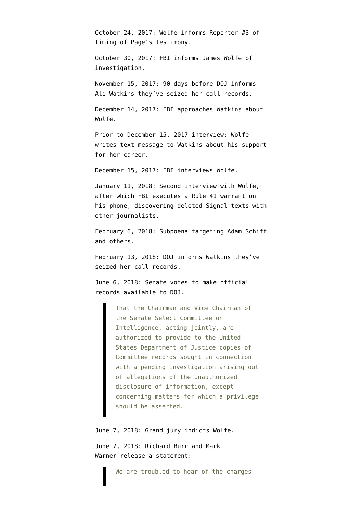October 24, 2017: Wolfe informs Reporter #3 of timing of Page's testimony.

October 30, 2017: FBI informs James Wolfe of investigation.

November 15, 2017: 90 days before DOJ informs Ali Watkins they've seized her call records.

December 14, 2017: FBI approaches Watkins about Wolfe.

Prior to December 15, 2017 interview: Wolfe writes text message to Watkins about his support for her career.

December 15, 2017: FBI interviews Wolfe.

January 11, 2018: Second interview with Wolfe, after which FBI executes a Rule 41 warrant on his phone, discovering deleted Signal texts with other journalists.

February 6, 2018: Subpoena targeting Adam Schiff and others.

February 13, 2018: DOJ informs Watkins they've seized her call records.

June 6, 2018: Senate [votes](https://fas.org/irp/congress/2018_cr/sres536.html) to make official records available to DOJ.

> That the Chairman and Vice Chairman of the Senate Select Committee on Intelligence, acting jointly, are authorized to provide to the United States Department of Justice copies of Committee records sought in connection with a pending investigation arising out of allegations of the unauthorized disclosure of information, except concerning matters for which a privilege should be asserted.

June 7, 2018: Grand jury [indicts](https://assets.documentcloud.org/documents/4499514/Wolfe-Indictment.pdf) Wolfe.

June 7, 2018: Richard Burr and Mark Warner [release a statement:](https://www.warner.senate.gov/public/index.cfm/pressreleases?ID=7B311AD2-B70B-4B8A-A56E-414C0DBA6534)

We are troubled to hear of the charges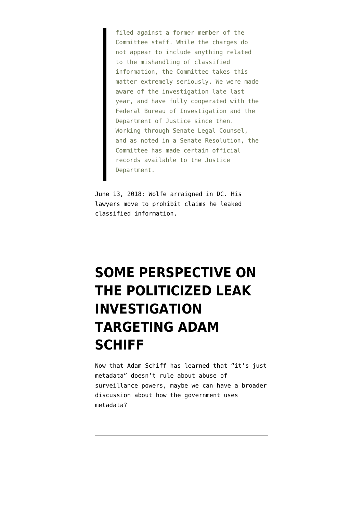filed against a former member of the Committee staff. While the charges do not appear to include anything related to the mishandling of classified information, the Committee takes this matter extremely seriously. We were made aware of the investigation late last year, and have fully cooperated with the Federal Bureau of Investigation and the Department of Justice since then. Working through Senate Legal Counsel, and as noted in a Senate Resolution, the Committee has made certain official records available to the Justice Department.

June 13, 2018: Wolfe arraigned in DC. His lawyers move to prohibit claims he leaked classified information.

# **[SOME PERSPECTIVE ON](https://www.emptywheel.net/2021/06/12/some-perspective-on-the-politicized-leak-investigation-targeting-adam-schiff/) [THE POLITICIZED LEAK](https://www.emptywheel.net/2021/06/12/some-perspective-on-the-politicized-leak-investigation-targeting-adam-schiff/) [INVESTIGATION](https://www.emptywheel.net/2021/06/12/some-perspective-on-the-politicized-leak-investigation-targeting-adam-schiff/) [TARGETING ADAM](https://www.emptywheel.net/2021/06/12/some-perspective-on-the-politicized-leak-investigation-targeting-adam-schiff/) [SCHIFF](https://www.emptywheel.net/2021/06/12/some-perspective-on-the-politicized-leak-investigation-targeting-adam-schiff/)**

Now that Adam Schiff has learned that "it's just metadata" doesn't rule about abuse of surveillance powers, maybe we can have a broader discussion about how the government uses metadata?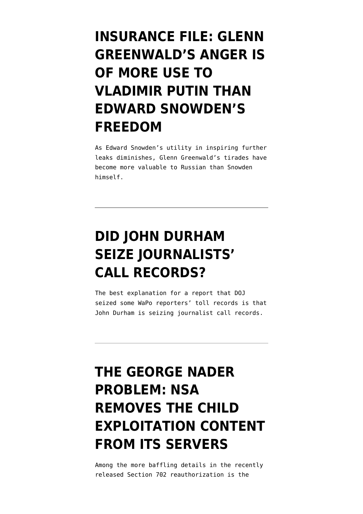#### **[INSURANCE FILE: GLENN](https://www.emptywheel.net/2021/05/21/insurance-file-glenn-greenwald-is-of-more-use-to-vladimir-putin-than-edward-snowden/) [GREENWALD'S ANGER IS](https://www.emptywheel.net/2021/05/21/insurance-file-glenn-greenwald-is-of-more-use-to-vladimir-putin-than-edward-snowden/) [OF MORE USE TO](https://www.emptywheel.net/2021/05/21/insurance-file-glenn-greenwald-is-of-more-use-to-vladimir-putin-than-edward-snowden/) [VLADIMIR PUTIN THAN](https://www.emptywheel.net/2021/05/21/insurance-file-glenn-greenwald-is-of-more-use-to-vladimir-putin-than-edward-snowden/) [EDWARD SNOWDEN'S](https://www.emptywheel.net/2021/05/21/insurance-file-glenn-greenwald-is-of-more-use-to-vladimir-putin-than-edward-snowden/) [FREEDOM](https://www.emptywheel.net/2021/05/21/insurance-file-glenn-greenwald-is-of-more-use-to-vladimir-putin-than-edward-snowden/)**

As Edward Snowden's utility in inspiring further leaks diminishes, Glenn Greenwald's tirades have become more valuable to Russian than Snowden himself.

# **[DID JOHN DURHAM](https://www.emptywheel.net/2021/05/07/did-john-durham-seize-journalists-records/) [SEIZE JOURNALISTS'](https://www.emptywheel.net/2021/05/07/did-john-durham-seize-journalists-records/) [CALL RECORDS?](https://www.emptywheel.net/2021/05/07/did-john-durham-seize-journalists-records/)**

The best explanation for a report that DOJ seized some WaPo reporters' toll records is that John Durham is seizing journalist call records.

# **[THE GEORGE NADER](https://www.emptywheel.net/2021/04/30/the-george-nader-problem-nsa-removes-the-child-exploitation-content-from-its-servers/) [PROBLEM: NSA](https://www.emptywheel.net/2021/04/30/the-george-nader-problem-nsa-removes-the-child-exploitation-content-from-its-servers/) [REMOVES THE CHILD](https://www.emptywheel.net/2021/04/30/the-george-nader-problem-nsa-removes-the-child-exploitation-content-from-its-servers/) [EXPLOITATION CONTENT](https://www.emptywheel.net/2021/04/30/the-george-nader-problem-nsa-removes-the-child-exploitation-content-from-its-servers/) [FROM ITS SERVERS](https://www.emptywheel.net/2021/04/30/the-george-nader-problem-nsa-removes-the-child-exploitation-content-from-its-servers/)**

Among the more baffling details in the recently released Section 702 reauthorization is the